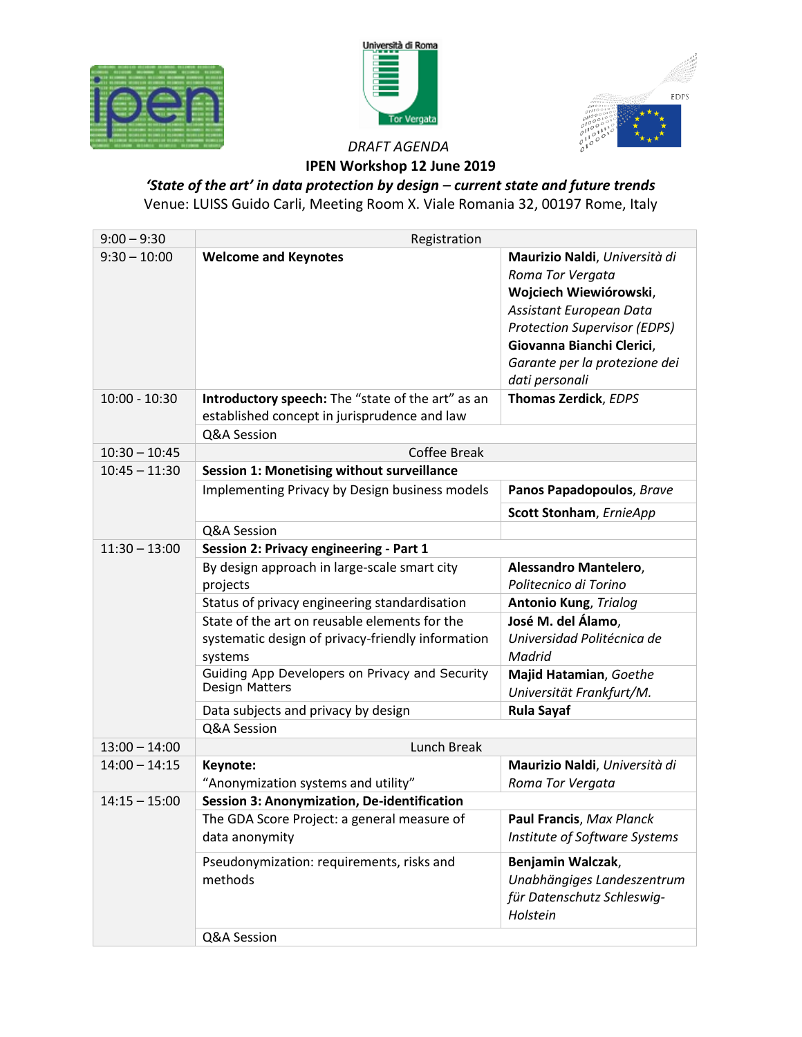





## *DRAFT AGENDA* **IPEN Workshop 12 June 2019**

## *'State of the art' in data protection by design – current state and future trends* Venue: LUISS Guido Carli, Meeting Room X. Viale Romania 32, 00197 Rome, Italy

| $9:00 - 9:30$   | Registration                                                                                                  |                                                                                                                                                                                                                               |  |
|-----------------|---------------------------------------------------------------------------------------------------------------|-------------------------------------------------------------------------------------------------------------------------------------------------------------------------------------------------------------------------------|--|
| $9:30 - 10:00$  | <b>Welcome and Keynotes</b>                                                                                   | Maurizio Naldi, Università di<br>Roma Tor Vergata<br>Wojciech Wiewiórowski,<br>Assistant European Data<br><b>Protection Supervisor (EDPS)</b><br>Giovanna Bianchi Clerici,<br>Garante per la protezione dei<br>dati personali |  |
| $10:00 - 10:30$ | Introductory speech: The "state of the art" as an<br>established concept in jurisprudence and law             | Thomas Zerdick, EDPS                                                                                                                                                                                                          |  |
|                 | Q&A Session                                                                                                   |                                                                                                                                                                                                                               |  |
| $10:30 - 10:45$ | <b>Coffee Break</b>                                                                                           |                                                                                                                                                                                                                               |  |
| $10:45 - 11:30$ | <b>Session 1: Monetising without surveillance</b>                                                             |                                                                                                                                                                                                                               |  |
|                 | Implementing Privacy by Design business models                                                                | Panos Papadopoulos, Brave                                                                                                                                                                                                     |  |
|                 |                                                                                                               | Scott Stonham, ErnieApp                                                                                                                                                                                                       |  |
|                 | Q&A Session                                                                                                   |                                                                                                                                                                                                                               |  |
| $11:30 - 13:00$ | <b>Session 2: Privacy engineering - Part 1</b>                                                                |                                                                                                                                                                                                                               |  |
|                 | By design approach in large-scale smart city<br>projects                                                      | Alessandro Mantelero,<br>Politecnico di Torino                                                                                                                                                                                |  |
|                 | Status of privacy engineering standardisation                                                                 | <b>Antonio Kung, Trialog</b>                                                                                                                                                                                                  |  |
|                 | State of the art on reusable elements for the<br>systematic design of privacy-friendly information<br>systems | José M. del Álamo,<br>Universidad Politécnica de<br>Madrid                                                                                                                                                                    |  |
|                 | Guiding App Developers on Privacy and Security<br>Design Matters                                              | Majid Hatamian, Goethe<br>Universität Frankfurt/M.                                                                                                                                                                            |  |
|                 | Data subjects and privacy by design                                                                           | <b>Rula Sayaf</b>                                                                                                                                                                                                             |  |
|                 | Q&A Session                                                                                                   |                                                                                                                                                                                                                               |  |
| $13:00 - 14:00$ | Lunch Break                                                                                                   |                                                                                                                                                                                                                               |  |
| $14:00 - 14:15$ | Keynote:<br>"Anonymization systems and utility"                                                               | Maurizio Naldi, Università di<br>Roma Tor Vergata                                                                                                                                                                             |  |
| $14:15 - 15:00$ | Session 3: Anonymization, De-identification                                                                   |                                                                                                                                                                                                                               |  |
|                 | The GDA Score Project: a general measure of<br>data anonymity                                                 | Paul Francis, Max Planck<br>Institute of Software Systems                                                                                                                                                                     |  |
|                 | Pseudonymization: requirements, risks and<br>methods                                                          | Benjamin Walczak,<br>Unabhängiges Landeszentrum<br>für Datenschutz Schleswig-<br>Holstein                                                                                                                                     |  |
|                 | Q&A Session                                                                                                   |                                                                                                                                                                                                                               |  |